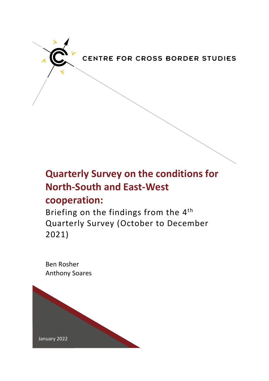

# **Quarterly Survey on the conditions for North-South and East-West cooperation:**

Briefing on the findings from the 4<sup>th</sup> Quarterly Survey (October to December 2021)

Ben Rosher Anthony Soares

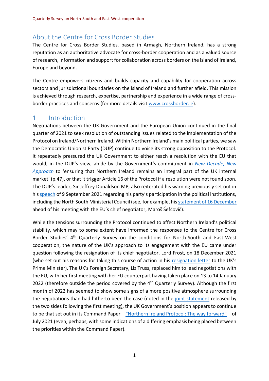# About the Centre for Cross Border Studies

The Centre for Cross Border Studies, based in Armagh, Northern Ireland, has a strong reputation as an authoritative advocate for cross-border cooperation and as a valued source of research, information and support for collaboration across borders on the island of Ireland, Europe and beyond.

The Centre empowers citizens and builds capacity and capability for cooperation across sectors and jurisdictional boundaries on the island of Ireland and further afield. This mission is achieved through research, expertise, partnership and experience in a wide range of crossborder practices and concerns (for more details visit [www.crossborder.ie\)](http://www.crossborder.ie/).

# 1. Introduction

Negotiations between the UK Government and the European Union continued in the final quarter of 2021 to seek resolution of outstanding issues related to the implementation of the Protocol on Ireland/Northern Ireland. Within Northern Ireland's main political parties, we saw the Democratic Unionist Party (DUP) continue to voice its strong opposition to the Protocol. It repeatedly pressured the UK Government to either reach a resolution with the EU that would, in the DUP's view, abide by the Government's commitment in *[New Decade, New](https://assets.publishing.service.gov.uk/government/uploads/system/uploads/attachment_data/file/856998/2020-01-08_a_new_decade__a_new_approach.pdf)  [Approach](https://assets.publishing.service.gov.uk/government/uploads/system/uploads/attachment_data/file/856998/2020-01-08_a_new_decade__a_new_approach.pdf)* to 'ensuring that Northern Ireland remains an integral part of the UK internal market' (p.47), or that it trigger Article 16 of the Protocol if a resolution were not found soon. The DUP's leader, Sir Jeffrey Donaldson MP, also reiterated his warning previously set out in his [speech](https://mydup.com/news/sir-jeffrey-donaldson-now-is-the-time-to-act) of 9 September 2021 regarding his party's participation in the political institutions, including the North South Ministerial Council (see, for example, hi[s statement of 16 December](https://mydup.com/news/sir-jeffrey-participation-in-political-institutions-not-sustainable-if-irish-sea-border-is-not-removed) ahead of his meeting with the EU's chief negotiator, Maroš Šefčovič).

While the tensions surrounding the Protocol continued to affect Northern Ireland's political stability, which may to some extent have informed the responses to the Centre for Cross Border Studies' 4<sup>th</sup> Quarterly Survey on the conditions for North-South and East-West cooperation, the nature of the UK's approach to its engagement with the EU came under question following the resignation of its chief negotiator, Lord Frost, on 18 December 2021 (who set out his reasons for taking this course of action in his [resignation letter](https://assets.publishing.service.gov.uk/government/uploads/system/uploads/attachment_data/file/1042231/Letter_to_PM.pdf) to the UK's Prime Minister). The UK's Foreign Secretary, Liz Truss, replaced him to lead negotiations with the EU, with her first meeting with her EU counterpart having taken place on 13 to 14 January 2022 (therefore outside the period covered by the  $4<sup>th</sup>$  Quarterly Survey). Although the first month of 2022 has seemed to show some signs of a more positive atmosphere surrounding the negotiations than had hitherto been the case (noted in the [joint statement](https://www.gov.uk/government/news/joint-statement-between-the-uk-and-eu-on-the-northern-ireland-protocol-and-eu-uk-relations) released by the two sides following the first meeting), the UK Government's position appears to continue to be that set out in its Command Paper – ["Northern Ireland Protocol: The way forward"](https://www.gov.uk/government/publications/northern-ireland-protocol-next-steps) – of July 2021 (even, perhaps, with some indications of a differing emphasis being placed between the priorities within the Command Paper).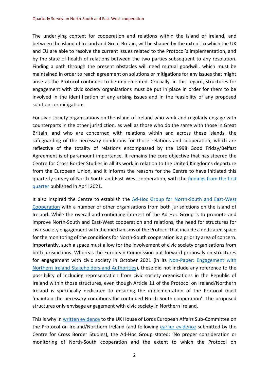The underlying context for cooperation and relations within the island of Ireland, and between the island of Ireland and Great Britain, will be shaped by the extent to which the UK and EU are able to resolve the current issues related to the Protocol's implementation, and by the state of health of relations between the two parties subsequent to any resolution. Finding a path through the present obstacles will need mutual goodwill, which must be maintained in order to reach agreement on solutions or mitigations for any issues that might arise as the Protocol continues to be implemented. Crucially, in this regard, structures for engagement with civic society organisations must be put in place in order for them to be involved in the identification of any arising issues and in the feasibility of any proposed solutions or mitigations.

For civic society organisations on the island of Ireland who work and regularly engage with counterparts in the other jurisdiction, as well as those who do the same with those in Great Britain, and who are concerned with relations within and across these islands, the safeguarding of the necessary conditions for those relations and cooperation, which are reflective of the totality of relations encompassed by the 1998 Good Friday/Belfast Agreement is of paramount importance. It remains the core objective that has steered the Centre for Cross Border Studies in all its work in relation to the United Kingdom's departure from the European Union, and it informs the reasons for the Centre to have initiated this quarterly survey of North-South and East-West cooperation, with the [findings from the first](https://crossborder.ie/site2015/wp-content/uploads/2020/12/Research-Briefing-on-1st-Quarterly-Survey.pdf)  [quarter](https://crossborder.ie/site2015/wp-content/uploads/2020/12/Research-Briefing-on-1st-Quarterly-Survey.pdf) published in April 2021.

It also inspired the Centre to establish the Ad-Hoc Group for North-South and East-West [Cooperation](https://crossborder.ie/what-we-do/projects/ad-hoc-group/) with a number of other organisations from both jurisdictions on the island of Ireland. While the overall and continuing interest of the Ad-Hoc Group is to promote and improve North-South and East-West cooperation and relations, the need for structures for civic society engagement with the mechanisms of the Protocol that include a dedicated space for the monitoring of the conditions for North-South cooperation is a priority area of concern. Importantly, such a space must allow for the involvement of civic society organisations from both jurisdictions. Whereas the European Commission put forward proposals on structures for engagement with civic society in October 2021 (in its [Non-Paper: Engagement with](https://ec.europa.eu/info/publications/protocol-ireland-and-nothern-ireland-non-paper-engagement-northern-ireland-stakeholders-and-authorities_en)  [Northern Ireland Stakeholders and Authorities\)](https://ec.europa.eu/info/publications/protocol-ireland-and-nothern-ireland-non-paper-engagement-northern-ireland-stakeholders-and-authorities_en), these did not include any reference to the possibility of including representation from civic society organisations in the Republic of Ireland within those structures, even though Article 11 of the Protocol on Ireland/Northern Ireland is specifically dedicated to ensuring the implementation of the Protocol must 'maintain the necessary conditions for continued North-South cooperation'. The proposed structures only envisage engagement with civic society in Northern Ireland.

This is why in [written evidence](https://crossborder.ie/reports/house-of-lords-sub-committee-on-the-protocol-publishes-evidence-from-ad-hoc-group/) to the UK House of Lords European Affairs Sub-Committee on the Protocol on Ireland/Northern Ireland (and following [earlier evidence](https://crossborder.ie/reports/ccbs-submission-to-the-house-of-lords-european-affairs-sub-committee-on-the-protocol-on-ireland-northern-ireland/) submitted by the Centre for Cross Border Studies), the Ad-Hoc Group stated: 'No proper consideration or monitoring of North-South cooperation and the extent to which the Protocol on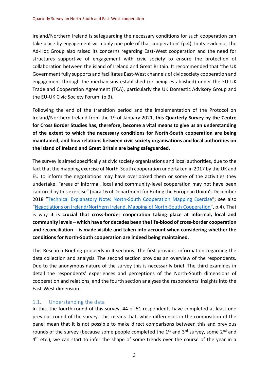Ireland/Northern Ireland is safeguarding the necessary conditions for such cooperation can take place by engagement with only one pole of that cooperation' (p.4). In its evidence, the Ad-Hoc Group also raised its concerns regarding East-West cooperation and the need for structures supportive of engagement with civic society to ensure the protection of collaboration between the island of Ireland and Great Britain. It recommended that 'the UK Government fully supports and facilitates East-West channels of civic society cooperation and engagement through the mechanisms established (or being established) under the EU-UK Trade and Cooperation Agreement (TCA), particularly the UK Domestic Advisory Group and the EU-UK Civic Society Forum' (p.3).

Following the end of the transition period and the implementation of the Protocol on Ireland/Northern Ireland from the 1st of January 2021, **this Quarterly Survey by the Centre for Cross Border Studies has, therefore, become a vital means to give us an understanding of the extent to which the necessary conditions for North-South cooperation are being maintained, and how relations between civic society organisations and local authorities on the island of Ireland and Great Britain are being safeguarded**.

The survey is aimed specifically at civic society organisations and local authorities, due to the fact that the mapping exercise of North-South cooperation undertaken in 2017 by the UK and EU to inform the negotiations may have overlooked them or some of the activities they undertake: "areas of informal, local and community-level cooperation may not have been captured by this exercise" (para 16 of Department for Exiting the European Union's December 2018 "[Technical Explanatory Note: North-South Cooperation Mapping Exercise](https://www.gov.uk/government/publications/technical-explanatory-note-north-south-cooperation-mapping-exercise)"; see also "[Negotiations on Ireland/Northern Ireland, Mapping of North-South Cooperation](https://ec.europa.eu/info/sites/info/files/mapping_of_north-south_cooperation_0.pdf)", p.4). That is why **it is crucial that cross-border cooperation taking place at informal, local and community levels – which have for decades been the life-blood of cross-border cooperation and reconciliation – is made visible and taken into account when considering whether the conditions for North-South cooperation are indeed being maintained**.

This Research Briefing proceeds in 4 sections. The first provides information regarding the data collection and analysis. The second section provides an overview of the respondents. Due to the anonymous nature of the survey this is necessarily brief. The third examines in detail the respondents' experiences and perceptions of the North-South dimensions of cooperation and relations, and the fourth section analyses the respondents' insights into the East-West dimension.

#### 1.1. Understanding the data

In this, the fourth round of this survey, 44 of 51 respondents have completed at least one previous round of the survey. This means that, while differences in the composition of the panel mean that it is not possible to make direct comparisons between this and previous rounds of the survey (because some people completed the  $1<sup>st</sup>$  and  $3<sup>rd</sup>$  survey, some  $2<sup>nd</sup>$  and 4<sup>th</sup> etc.), we can start to infer the shape of some trends over the course of the year in a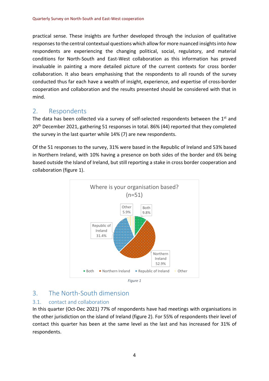practical sense. These insights are further developed through the inclusion of qualitative responses to the central contextual questions which allow for more nuanced insights into *how* respondents are experiencing the changing political, social, regulatory, and material conditions for North-South and East-West collaboration as this information has proved invaluable in painting a more detailed picture of the current contexts for cross border collaboration. It also bears emphasising that the respondents to all rounds of the survey conducted thus far each have a wealth of insight, experience, and expertise of cross-border cooperation and collaboration and the results presented should be considered with that in mind.

# 2. Respondents

The data has been collected via a survey of self-selected respondents between the 1<sup>st</sup> and 20<sup>th</sup> December 2021, gathering 51 responses in total. 86% (44) reported that they completed the survey in the last quarter while 14% (7) are new respondents.

Of the 51 responses to the survey, 31% were based in the Republic of Ireland and 53% based in Northern Ireland, with 10% having a presence on both sides of the border and 6% being based outside the Island of Ireland, but still reporting a stake in cross border cooperation and collaboration (figure 1).



# 3. The North-South dimension

### 3.1. contact and collaboration

In this quarter (Oct-Dec 2021) 77% of respondents have had meetings with organisations in the other jurisdiction on the island of Ireland (figure 2). For 55% of respondents their level of contact this quarter has been at the same level as the last and has increased for 31% of respondents.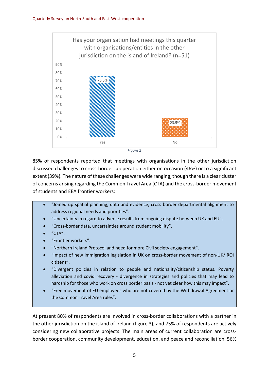



85% of respondents reported that meetings with organisations in the other jurisdiction discussed challenges to cross-border cooperation either on occasion (46%) or to a significant extent (39%). The nature of these challenges were wide ranging, though there is a clear cluster of concerns arising regarding the Common Travel Area (CTA) and the cross-border movement of students and EEA frontier workers:

- "Joined up spatial planning, data and evidence, cross border departmental alignment to address regional needs and priorities".
- "Uncertainty in regard to adverse results from ongoing dispute between UK and EU".
- "Cross-border data, uncertainties around student mobility".
- "CTA".
- "Frontier workers".
- "Northern Ireland Protocol and need for more Civil society engagement".
- "Impact of new immigration legislation in UK on cross-border movement of non-UK/ ROI citizens".
- "Divergent policies in relation to people and nationality/citizenship status. Poverty alleviation and covid recovery - divergence in strategies and policies that may lead to hardship for those who work on cross border basis - not yet clear how this may impact".
- "Free movement of EU employees who are not covered by the Withdrawal Agreement or the Common Travel Area rules".

At present 80% of respondents are involved in cross-border collaborations with a partner in the other jurisdiction on the island of Ireland (figure 3), and 75% of respondents are actively considering new collaborative projects. The main areas of current collaboration are crossborder cooperation, community development, education, and peace and reconciliation. 56%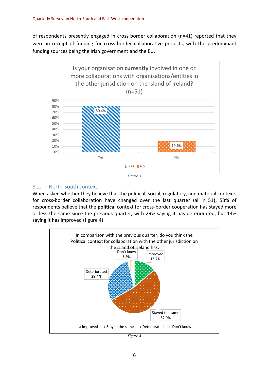of respondents presently engaged in cross border collaboration (n=41) reported that they were in receipt of funding for cross-border collaborative projects, with the predominant funding sources being the Irish government and the EU.



#### 3.2. North-South context

When asked whether they believe that the political, social, regulatory, and material contexts for cross-border collaboration have changed over the last quarter (all n=51), 53% of respondents believe that the **political** context for cross-border cooperation has stayed more or less the same since the previous quarter, with 29% saying it has deteriorated, but 14% saying it has improved (figure 4).



*Figure 4*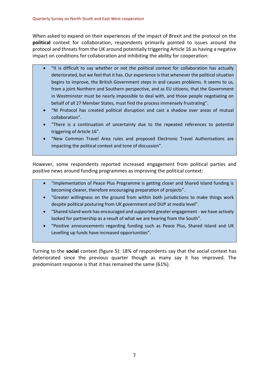When asked to expand on their experiences of the impact of Brexit and the protocol on the **political** context for collaboration, respondents primarily pointed to issues around the protocol and threats from the UK around potentially triggering Article 16 as having a negative impact on conditions for collaboration and inhibiting the ability for cooperation:

- "It is difficult to say whether or not the political context for collaboration has actually deteriorated, but we feel that it has. Our experience is that whenever the political situation begins to improve, the British Government steps in and causes problems. It seems to us, from a joint Northern and Southern perspective, and as EU citizens, that the Government in Westminster must be nearly impossible to deal with, and those people negotiating on behalf of all 27 Member States, must find the process immensely frustrating".
- "NI Protocol has created political disruption and cast a shadow over areas of mutual collaboration".
- "There is a continuation of uncertainty due to the repeated references to potential triggering of Article 16".
- "New Common Travel Area rules and proposed Electronic Travel Authorisations are impacting the political context and tone of discussion".

However, some respondents reported increased engagement from political parties and positive news around funding programmes as improving the political context:

- "Implementation of Peace Plus Programme is getting closer and Shared Island funding is becoming clearer, therefore encouraging preparation of projects".
- "Greater willingness on the ground from within both jurisdictions to make things work despite political posturing from UK government and DUP at media level".
- "Shared Island work has encouraged and supported greater engagement we have actively looked for partnership as a result of what we are hearing from the South".
- "Positive announcements regarding funding such as Peace Plus, Shared Island and UK Levelling up funds have increased opportunities".

Turning to the **social** context (figure 5): 18% of respondents say that the social context has deteriorated since the previous quarter though as many say it has improved. The predominant response is that it has remained the same (61%).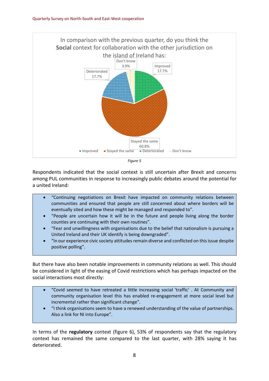



Respondents indicated that the social context is still uncertain after Brexit and concerns among PUL communities in response to increasingly public debates around the potential for a united Ireland:

- "Continuing negotiations on Brexit have impacted on community relations between communities and ensured that people are still concerned about where borders will be eventually sited and how these might be managed and responded to".
- "People are uncertain how it will be in the future and people living along the border counties are continuing with their own routines".
- "Fear and unwillingness with organisations due to the belief that nationalism is pursuing a United Ireland and their UK identify is being downgraded".
- "In our experience civic society attitudes remain diverse and conflicted on this issue despite positive polling".

But there have also been notable improvements in community relations as well. This should be considered in light of the easing of Covid restrictions which has perhaps impacted on the social interactions most directly:

- "Covid seemed to have retreated a little increasing social 'traffic' . At Community and community organisation level this has enabled re-engagement at more social level but incremental rather than significant change".
- "I think organisations seem to have a renewed understanding of the value of partnerships. Also a link for NI into Europe".

In terms of the **regulatory** context (figure 6), 53% of respondents say that the regulatory context has remained the same compared to the last quarter, with 28% saying it has deteriorated.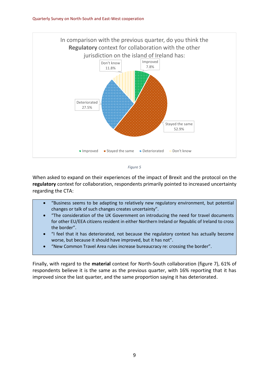



When asked to expand on their experiences of the impact of Brexit and the protocol on the **regulatory** context for collaboration, respondents primarily pointed to increased uncertainty regarding the CTA:

- "Business seems to be adapting to relatively new regulatory environment, but potential changes or talk of such changes creates uncertainty".
- "The consideration of the UK Government on introducing the need for travel documents for other EU/EEA citizens resident in either Northern Ireland or Republic of Ireland to cross the border".
- "I feel that it has deteriorated, not because the regulatory context has actually become worse, but because it should have improved, but it has not".
- "New Common Travel Area rules increase bureaucracy re: crossing the border".

Finally, with regard to the **material** context for North-South collaboration (figure 7), 61% of respondents believe it is the same as the previous quarter, with 16% reporting that it has improved since the last quarter, and the same proportion saying it has deteriorated.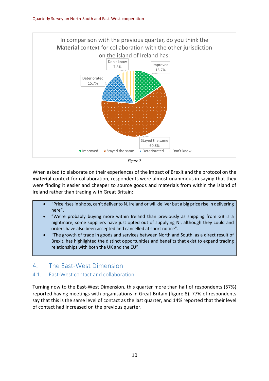



When asked to elaborate on their experiences of the impact of Brexit and the protocol on the **material** context for collaboration, respondents were almost unanimous in saying that they were finding it easier and cheaper to source goods and materials from within the island of Ireland rather than trading with Great Britain:

- "Price rises in shops, can't deliver to N. Ireland or will deliver but a big price rise in delivering here".
- "We're probably buying more within Ireland than previously as shipping from GB is a nightmare, some suppliers have just opted out of supplying NI, although they could and orders have also been accepted and cancelled at short notice".
- "The growth of trade in goods and services between North and South, as a direct result of Brexit, has highlighted the distinct opportunities and benefits that exist to expand trading relationships with both the UK and the EU".

# 4. The East-West Dimension

#### 4.1. East-West contact and collaboration

Turning now to the East-West Dimension, this quarter more than half of respondents (57%) reported having meetings with organisations in Great Britain (figure 8). 77% of respondents say that this is the same level of contact as the last quarter, and 14% reported that their level of contact had increased on the previous quarter.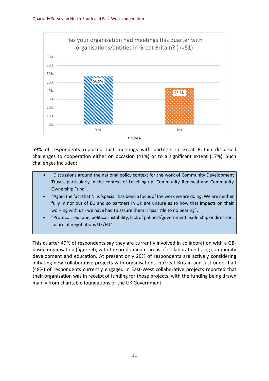

*Figure 8*

59% of respondents reported that meetings with partners in Great Britain discussed challenges to cooperation either on occasion (41%) or to a significant extent (17%). Such challenges included:

- "Discussions around the national policy context for the work of Community Development Trusts, particularly in the context of Levelling-up, Community Renewal and Community Ownership Fund".
- "Again the fact that NI is 'special' has been a focus of the work we are doing. We are neither fully in nor out of EU and so partners in UK are unsure as to how that impacts on their working with us - we have had to assure them it has little to no bearing".
- "Protocol, red tape, political instability, lack of political/government leadership or direction, failure of negotiations UK/EU".

This quarter 49% of respondents say they are currently involved in collaboration with a GBbased organisation (figure 9), with the predominant areas of collaboration being community development and education. At present only 26% of respondents are actively considering initiating new collaborative projects with organisations in Great Britain and just under half (48%) of respondents currently engaged in East-West collaborative projects reported that their organisation was in receipt of funding for those projects, with the funding being drawn mainly from charitable foundations or the UK Government.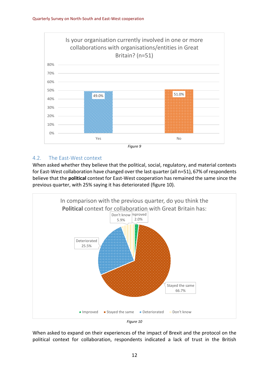

#### 4.2. The East-West context

When asked whether they believe that the political, social, regulatory, and material contexts for East-West collaboration have changed over the last quarter (all n=51), 67% of respondents believe that the **political** context for East-West cooperation has remained the same since the previous quarter, with 25% saying it has deteriorated (figure 10).



When asked to expand on their experiences of the impact of Brexit and the protocol on the political context for collaboration, respondents indicated a lack of trust in the British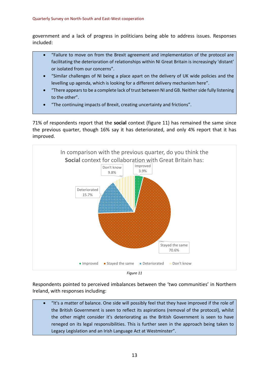government and a lack of progress in politicians being able to address issues. Responses included:

- "Failure to move on from the Brexit agreement and implementation of the protocol are facilitating the deterioration of relationships within NI Great Britain is increasingly 'distant' or isolated from our concerns".
- "Similar challenges of NI being a place apart on the delivery of UK wide policies and the levelling up agenda, which is looking for a different delivery mechanism here".
- "There appears to be a complete lack of trust between NI and GB. Neither side fully listening to the other".
- "The continuing impacts of Brexit, creating uncertainty and frictions".

71% of respondents report that the **social** context (figure 11) has remained the same since the previous quarter, though 16% say it has deteriorated, and only 4% report that it has improved.





Respondents pointed to perceived imbalances between the 'two communities' in Northern Ireland, with responses including:

 "It's a matter of balance. One side will possibly feel that they have improved if the role of the British Government is seen to reflect its aspirations (removal of the protocol), whilst the other might consider it's deteriorating as the British Government is seen to have reneged on its legal responsibilities. This is further seen in the approach being taken to Legacy Legislation and an Irish Language Act at Westminster".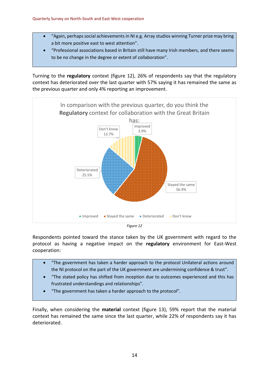- "Again, perhaps social achievements in NI e.g. Array studios winning Turner prize may bring a bit more positive east to west attention".
- "Professional associations based in Britain still have many Irish members, and there seems to be no change in the degree or extent of collaboration".

Turning to the **regulatory** context (figure 12), 26% of respondents say that the regulatory context has deteriorated over the last quarter with 57% saying it has remained the same as the previous quarter and only 4% reporting an improvement.



Respondents pointed toward the stance taken by the UK government with regard to the protocol as having a negative impact on the **regulatory** environment for East-West cooperation:

- "The government has taken a harder approach to the protocol Unilateral actions around the NI protocol on the part of the UK government are undermining confidence & trust".
- "The stated policy has shifted from inception due to outcomes experienced and this has frustrated understandings and relationships".
- "The government has taken a harder approach to the protocol".

Finally, when considering the **material** context (figure 13), 59% report that the material context has remained the same since the last quarter, while 22% of respondents say it has deteriorated.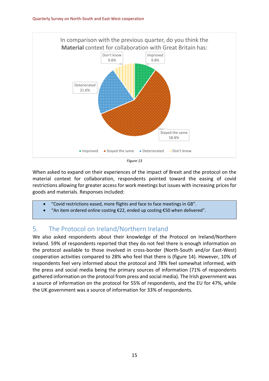

*Figure 13*

When asked to expand on their experiences of the impact of Brexit and the protocol on the material context for collaboration, respondents pointed toward the easing of covid restrictions allowing for greater access for work meetings but issues with increasing prices for goods and materials. Responses included:

- "Covid restrictions eased, more flights and face to face meetings in GB".
- "An item ordered online costing €22, ended up costing €50 when delivered".

# 5. The Protocol on Ireland/Northern Ireland

We also asked respondents about their knowledge of the Protocol on Ireland/Northern Ireland. 59% of respondents reported that they do not feel there is enough information on the protocol available to those involved in cross-border (North-South and/or East-West) cooperation activities compared to 28% who feel that there is (figure 14). However, 10% of respondents feel very informed about the protocol and 78% feel somewhat informed, with the press and social media being the primary sources of information (71% of respondents gathered information on the protocol from press and social media). The Irish government was a source of information on the protocol for 55% of respondents, and the EU for 47%, while the UK government was a source of information for 33% of respondents.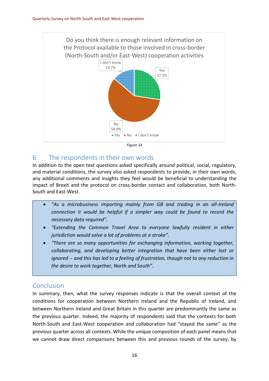



# 6. The respondents in their own words

In addition to the open text questions asked specifically around political, social, regulatory, and material conditions, the survey also asked respondents to provide, in their own words, any additional comments and insights they feel would be beneficial to understanding the impact of Brexit and the protocol on cross-border contact and collaboration, both North-South and East-West.

- *"As a microbusiness importing mainly from GB and trading in an all-Ireland connection it would be helpful if a simpler way could be found to record the necessary data required".*
- *"Extending the Common Travel Area to everyone lawfully resident in either jurisdiction would solve a lot of problems at a stroke".*
- *"There are so many opportunities for exchanging information, working together, collaborating, and developing better integration that have been either lost or ignored -- and this has led to a feeling of frustration, though not to any reduction in the desire to work together, North and South".*

# Conclusion

In summary, then, what the survey responses indicate is that the overall context of the conditions for cooperation between Northern Ireland and the Republic of Ireland, and between Northern Ireland and Great Britain in this quarter are predominantly the same as the previous quarter. Indeed, the majority of respondents said that the contexts for both North-South and East-West cooperation and collaboration had "stayed the same" as the previous quarter across all contexts. While the unique composition of each panel means that we cannot draw direct comparisons between this and previous rounds of the survey, by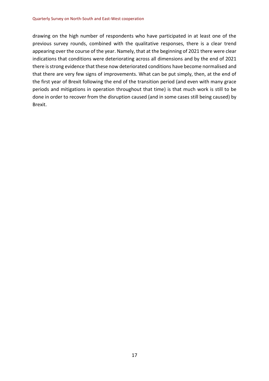drawing on the high number of respondents who have participated in at least one of the previous survey rounds, combined with the qualitative responses, there is a clear trend appearing over the course of the year. Namely, that at the beginning of 2021 there were clear indications that conditions were deteriorating across all dimensions and by the end of 2021 there is strong evidence that these now deteriorated conditions have become normalised and that there are very few signs of improvements. What can be put simply, then, at the end of the first year of Brexit following the end of the transition period (and even with many grace periods and mitigations in operation throughout that time) is that much work is still to be done in order to recover from the disruption caused (and in some cases still being caused) by Brexit.